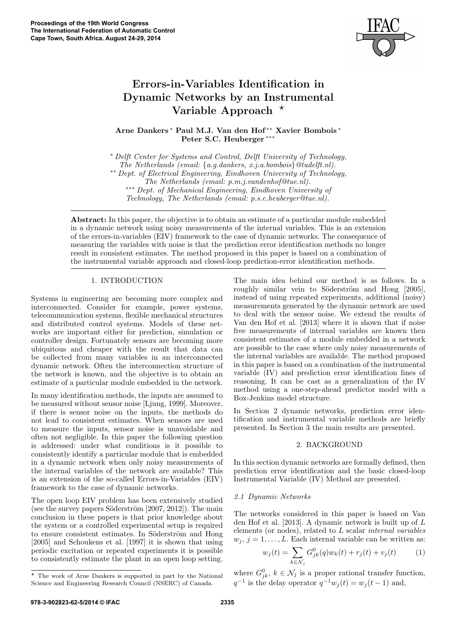

# Errors-in-Variables Identification in Dynamic Networks by an Instrumental Variable Approach  $*$

Arne Dankers <sup>∗</sup> Paul M.J. Van den Hof ∗∗ Xavier Bombois <sup>∗</sup> Peter S.C. Heuberger ∗∗∗

<sup>∗</sup> Delft Center for Systems and Control, Delft University of Technology,

The Netherlands (email: {a.g.dankers, x.j.a.bombois}@tudelft.nl). ∗∗ Dept. of Electrical Engineering, Eindhoven University of Technology,

∗∗∗ Dept. of Mechanical Engineering, Eindhoven University of

Technology, The Netherlands (email: p.s.c.heuberger@tue.nl).

Abstract: In this paper, the objective is to obtain an estimate of a particular module embedded in a dynamic network using noisy measurements of the internal variables. This is an extension of the errors-in-variables (EIV) framework to the case of dynamic networks. The consequence of measuring the variables with noise is that the prediction error identification methods no longer result in consistent estimates. The method proposed in this paper is based on a combination of the instrumental variable approach and closed-loop prediction-error identification methods.

# 1. INTRODUCTION

Systems in engineering are becoming more complex and interconnected. Consider for example, power systems, telecommunication systems, flexible mechanical structures and distributed control systems. Models of these networks are important either for prediction, simulation or controller design. Fortunately sensors are becoming more ubiquitous and cheaper with the result that data can be collected from many variables in an interconnected dynamic network. Often the interconnection structure of the network is known, and the objective is to obtain an estimate of a particular module embedded in the network.

In many identification methods, the inputs are assumed to be measured without sensor noise [Ljung, 1999]. Moreover, if there is sensor noise on the inputs, the methods do not lead to consistent estimates. When sensors are used to measure the inputs, sensor noise is unavoidable and often not negligible. In this paper the following question is addressed: under what conditions is it possible to consistently identify a particular module that is embedded in a dynamic network when only noisy measurements of the internal variables of the network are available? This is an extension of the so-called Errors-in-Variables (EIV) framework to the case of dynamic networks.

The open loop EIV problem has been extensively studied (see the survey papers Söderström  $[2007, 2012]$ ). The main conclusion in these papers is that prior knowledge about the system or a controlled experimental setup is required to ensure consistent estimates. In Söderström and Hong [2005] and Schoukens et al. [1997] it is shown that using periodic excitation or repeated experiments it is possible to consistently estimate the plant in an open loop setting.

The main idea behind our method is as follows. In a roughly similar vein to Söderström and Hong [2005]. instead of using repeated experiments, additional (noisy) measurements generated by the dynamic network are used to deal with the sensor noise. We extend the results of Van den Hof et al. [2013] where it is shown that if noise free measurements of internal variables are known then consistent estimates of a module embedded in a network are possible to the case where only noisy measurements of the internal variables are available. The method proposed in this paper is based on a combination of the instrumental variable (IV) and prediction error identification lines of reasoning. It can be cast as a generalization of the IV method using a one-step-ahead predictor model with a Box-Jenkins model structure.

In Section 2 dynamic networks, prediction error identification and instrumental variable methods are briefly presented. In Section 3 the main results are presented.

# 2. BACKGROUND

In this section dynamic networks are formally defined, then prediction error identification and the basic closed-loop Instrumental Variable (IV) Method are presented.

# 2.1 Dynamic Networks

The networks considered in this paper is based on Van den Hof et al. [2013]. A dynamic network is built up of L elements (or nodes), related to L scalar internal variables  $w_i, j = 1, \ldots, L$ . Each internal variable can be written as:

$$
w_j(t) = \sum_{k \in \mathcal{N}_j} G_{jk}^0(q) w_k(t) + r_j(t) + v_j(t)
$$
 (1)

where  $G_{jk}^0$ ,  $k \in \mathcal{N}_j$  is a proper rational transfer function,  $q^{-1}$  is the delay operator  $q^{-1}w_j(t) = w_j(t-1)$  and,

The Netherlands (email: p.m.j.vandenhof@tue.nl).

<sup>?</sup> The work of Arne Dankers is supported in part by the National Science and Engineering Research Council (NSERC) of Canada.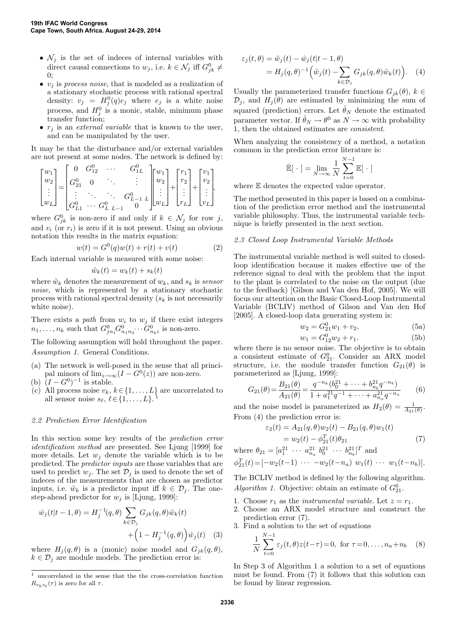- $\mathcal{N}_j$  is the set of indeces of internal variables with direct causal connections to  $w_j$ , i.e.  $k \in \mathcal{N}_j$  iff  $G_{jk}^0 \neq$  $\theta$ :
- $v_j$  is process noise, that is modeled as a realization of a stationary stochastic process with rational spectral density:  $v_j = H_j^0(q)e_j$  where  $e_j$  is a white noise process, and  $H_j^0$  is a monic, stable, minimum phase transfer function;
- $r_j$  is an *external variable* that is known to the user, and can be manipulated by the user.

It may be that the disturbance and/or external variables are not present at some nodes. The network is defined by:

$$
\begin{bmatrix} w_1 \\ w_2 \\ \vdots \\ w_L \end{bmatrix} = \begin{bmatrix} 0 & G_{12}^0 & \cdots & G_{1L}^0 \\ G_{21}^0 & 0 & \ddots & \vdots \\ \vdots & \ddots & \ddots & G_{L-1}^0 & L \\ G_{L1}^0 & \cdots & G_{L-L-1}^0 & 0 \end{bmatrix} \begin{bmatrix} w_1 \\ w_2 \\ \vdots \\ w_L \end{bmatrix} + \begin{bmatrix} r_1 \\ r_2 \\ \vdots \\ r_L \end{bmatrix} + \begin{bmatrix} v_1 \\ v_2 \\ \vdots \\ v_L \end{bmatrix},
$$

where  $G_{jk}^0$  is non-zero if and only if  $k \in \mathcal{N}_j$  for row j, and  $v_i$  (or  $r_i$ ) is zero if it is not present. Using an obvious notation this results in the matrix equation:

$$
w(t) = G^{0}(q)w(t) + r(t) + v(t)
$$
\n(2)

Each internal variable is measured with some noise:

$$
\tilde{w}_k(t) = w_k(t) + s_k(t)
$$

where  $\tilde{w}_k$  denotes the measurement of  $w_k$ , and  $s_k$  is sensor noise, which is represented by a stationary stochastic process with rational spectral density  $(s_k)$  is not necessarily white noise).

There exists a path from  $w_i$  to  $w_j$  if there exist integers  $n_1, \ldots, n_k$  such that  $G_{j n_1}^0 G_{n_1 n_2}^0 \cdots G_{n_k i}^0$  is non-zero.

The following assumption will hold throughout the paper. Assumption 1. General Conditions.

- (a) The network is well-posed in the sense that all principal minors of  $\lim_{z\to\infty}(I-G^0(z))$  are non-zero.
- (b)  $(I G^0)^{-1}$  is stable.
- (c) All process noise  $v_k, k \in \{1, \ldots, L\}$  are uncorrelated to all sensor noise  $\varepsilon_k$ ,  $\ell \in \{1, \ldots, L\}$ all sensor noise  $s_{\ell}, \ell \in \{1, \ldots, L\}.$

# 2.2 Prediction Error Identification

In this section some key results of the prediction error identification method are presented. See Ljung [1999] for more details. Let  $w_i$  denote the variable which is to be predicted. The predictor inputs are those variables that are used to predict  $w_i$ . The set  $\mathcal{D}_i$  is used to denote the set of indeces of the measurements that are chosen as predictor inputs, i.e.  $\tilde{w}_k$  is a predictor input iff  $k \in \mathcal{D}_i$ . The onestep-ahead predictor for  $w_i$  is [Ljung, 1999]:

$$
\hat{w}_j(t|t-1,\theta) = H_j^{-1}(q,\theta) \sum_{k \in \mathcal{D}_j} G_{jk}(q,\theta) \tilde{w}_k(t) + \left(1 - H_j^{-1}(q,\theta)\right) \tilde{w}_j(t) \quad (3)
$$

where  $H_i(q, \theta)$  is a (monic) noise model and  $G_{jk}(q, \theta)$ ,  $k \in \mathcal{D}_i$  are module models. The prediction error is:

$$
\varepsilon_j(t,\theta) = \tilde{w}_j(t) - \hat{w}_j(t|t-1,\theta) \n= H_j(q,\theta)^{-1} \left( \tilde{w}_j(t) - \sum_{k \in \mathcal{D}_j} G_{jk}(q,\theta) \tilde{w}_k(t) \right).
$$
\n(4)

Usually the parameterized transfer functions  $G_{jk}(\theta)$ ,  $k \in$  $\mathcal{D}_j$ , and  $H_j(\theta)$  are estimated by minimizing the sum of squared (prediction) errors. Let  $\hat{\theta}_N$  denote the estimated parameter vector. If  $\hat{\theta}_N \to \theta^0$  as  $N \to \infty$  with probability 1, then the obtained estimates are consistent.

When analyzing the consistency of a method, a notation common in the prediction error literature is:

$$
\bar{\mathbb{E}}[\cdot] = \lim_{N \to \infty} \frac{1}{N} \sum_{t=0}^{N-1} \mathbb{E}[\cdot]
$$

where  $E$  denotes the expected value operator.

The method presented in this paper is based on a combination of the prediction error method and the instrumental variable philosophy. Thus, the instrumental variable technique is briefly presented in the next section.

## 2.3 Closed Loop Instrumental Variable Methods

The instrumental variable method is well suited to closedloop identification because it makes effective use of the reference signal to deal with the problem that the input to the plant is correlated to the noise on the output (due to the feedback) [Gilson and Van den Hof, 2005]. We will focus our attention on the Basic Closed-Loop Instrumental Variable (BCLIV) method of Gilson and Van den Hof [2005]. A closed-loop data generating system is:

$$
w_2 = G_{21}^0 w_1 + v_2, \tag{5a}
$$

$$
w_1 = G_{12}^0 w_2 + r_1. \tag{5b}
$$

where there is no sensor noise. The objective is to obtain a consistent estimate of  $G_{21}^0$ . Consider an ARX model structure, i.e. the module transfer function  $G_{21}(\theta)$  is parameterized as [Ljung, 1999]:

$$
G_{21}(\theta) = \frac{B_{21}(\theta)}{A_{21}(\theta)} = \frac{q^{-n_k} (b_0^{21} + \dots + b_{n_b}^{21} q^{-n_b})}{1 + a_1^{21} q^{-1} + \dots + a_{n_a}^{21} q^{-n_a}}
$$
(6)

and the noise model is parameterized as  $H_2(\theta) = \frac{1}{A_{21}(\theta)}$ . From (4) the prediction error is:

$$
\varepsilon_2(t) = A_{21}(q, \theta)w_2(t) - B_{21}(q, \theta)w_1(t)
$$
  
=  $w_2(t) - \phi_{21}^T(t)\theta_{21}$  (7)

where  $\theta_{21} = [a_1^{21} \cdots a_{n_a}^{21} b_0^{21} \cdots b_{n_b}^{21}]^T$  and

$$
\phi_{21}^T(t) = [-w_2(t-1) \cdots -w_2(t-n_a) w_1(t) \cdots w_1(t-n_b)].
$$

The BCLIV method is defined by the following algorithm. Algorithm 1. Objective: obtain an estimate of  $G_{21}^0$ .

- 1. Choose  $r_1$  as the *instrumental variable*. Let  $z = r_1$ .
- 2. Choose an ARX model structure and construct the prediction error (7).
- 3. Find a solution to the set of equations

$$
\frac{1}{N} \sum_{t=0}^{N-1} \varepsilon_j(t, \theta) z(t-\tau) = 0, \text{ for } \tau = 0, \dots, n_a + n_b \quad (8)
$$

In Step 3 of Algorithm 1 a solution to a set of equations must be found. From (7) it follows that this solution can be found by linear regression.

 $^{\rm 1}$  uncorrelated in the sense that the the cross-correlation function  $R_{v_k s_{\ell}}(\tau)$  is zero for all  $\tau$ .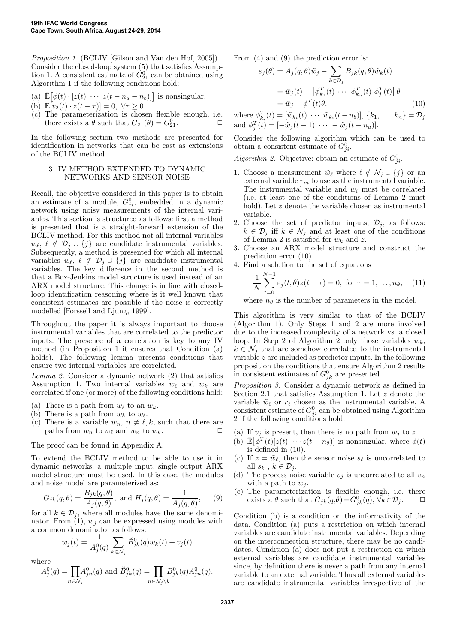Proposition 1. (BCLIV [Gilson and Van den Hof, 2005]). Consider the closed-loop system (5) that satisfies Assumption 1. A consistent estimate of  $\hat{G}_{21}^{0'}$  can be obtained using Algorithm 1 if the following conditions hold:

- (a)  $\bar{\mathbb{E}}\big[\phi(t)\cdot[z(t)\cdots z(t-n_a-n_b)]\big]$  is nonsingular,
- (b)  $\mathbb{E}[v_2(t)\cdot z(t-\tau)]=0, \forall \tau\geq 0.$
- (c) The parameterization is chosen flexible enough, i.e. there exists a  $\theta$  such that  $G_{21}(\theta) = G_{21}^0$ .

In the following section two methods are presented for identification in networks that can be cast as extensions of the BCLIV method.

#### 3. IV METHOD EXTENDED TO DYNAMIC NETWORKS AND SENSOR NOISE

Recall, the objective considered in this paper is to obtain an estimate of a module,  $G_{ji}^0$ , embedded in a dynamic network using noisy measurements of the internal variables. This section is structured as follows: first a method is presented that is a straight-forward extension of the BCLIV method. For this method not all internal variables  $w_{\ell}, \ell \notin \mathcal{D}_j \cup \{j\}$  are candidate instrumental variables. Subsequently, a method is presented for which all internal variables  $w_{\ell}, \ell \notin \mathcal{D}_j \cup \{j\}$  are candidate instrumental variables. The key difference in the second method is that a Box-Jenkins model structure is used instead of an ARX model structure. This change is in line with closedloop identification reasoning where is it well known that consistent estimates are possible if the noise is correctly modelled [Forssell and Ljung, 1999].

Throughout the paper it is always important to choose instrumental variables that are correlated to the predictor inputs. The presence of a correlation is key to any IV method (in Proposition 1 it ensures that Condition (a) holds). The following lemma presents conditions that ensure two internal variables are correlated.

Lemma 2. Consider a dynamic network (2) that satisfies Assumption 1. Two internal variables  $w_{\ell}$  and  $w_k$  are correlated if one (or more) of the following conditions hold:

- (a) There is a path from  $w_{\ell}$  to an  $w_{k}$ .
- (b) There is a path from  $w_k$  to  $w_\ell$ .
- (c) There is a variable  $w_n, n \neq \ell, k$ , such that there are paths from  $w_n$  to  $w_\ell$  and  $w_n$  to  $w_k$ .

The proof can be found in Appendix A.

To extend the BCLIV method to be able to use it in dynamic networks, a multiple input, single output ARX model structure must be used. In this case, the modules and noise model are parameterized as:

$$
G_{jk}(q,\theta) = \frac{B_{jk}(q,\theta)}{A_j(q,\theta)}, \text{ and } H_j(q,\theta) = \frac{1}{A_j(q,\theta)}, \quad (9)
$$

for all  $k \in \mathcal{D}_j$ , where all modules have the same denominator. From  $(1)$ ,  $w_i$  can be expressed using modules with a common denominator as follows:

$$
w_j(t) = \frac{1}{A_j^0(q)} \sum_{k \in \mathcal{N}_j} \check{B}_{jk}^0(q) w_k(t) + v_j(t)
$$

where

$$
A_j^0(q)=\!\!\!\!\!\prod_{n\in\mathcal N_j}\!\!\!\!\!A_{jn}^0(q)\text{ and }\breve B_{jk}^0(q)=\!\!\!\!\!\!\!\!\!\!\!\prod_{n\in\mathcal N_j\backslash k}\!\!\!\!\!\!\!\!\!\!B_{jk}^0(q)A_{jn}^0(q).
$$

From (4) and (9) the prediction error is:

$$
\varepsilon_j(\theta) = A_j(q, \theta)\tilde{w}_j - \sum_{k \in \mathcal{D}_j} B_{jk}(q, \theta)\tilde{w}_k(t)
$$
  
=  $\tilde{w}_j(t) - [\phi_{k_1}^T(t) \cdots \phi_{k_n}^T(t) \phi_j^T(t)] \theta$   
=  $\tilde{w}_j - \phi^T(t)\theta$ . (10)

where  $\phi_{k_i}^T(t) = [\tilde{w}_{k_i}(t) \cdots \tilde{w}_{k_i}(t-n_b)], \{k_1, \ldots, k_n\} = D_j$ and  $\phi_j^T(t) = [-\tilde{w}_j(t-1) \cdots - \tilde{w}_j(t-n_a)].$ 

Consider the following algorithm which can be used to obtain a consistent estimate of  $G_{ji}^0$ .

Algorithm 2. Objective: obtain an estimate of  $G_{ji}^0$ .

- 1. Choose a measurement  $\tilde{w}_\ell$  where  $\ell \notin \mathcal{N}_j \cup \{j\}$  or an external variable  $r_m$  to use as the instrumental variable. The instrumental variable and  $w_i$  must be correlated (i.e. at least one of the conditions of Lemma 2 must hold). Let z denote the variable chosen as instrumental variable.
- 2. Choose the set of predictor inputs,  $\mathcal{D}_j$ , as follows:  $k \in \mathcal{D}_j$  iff  $k \in \mathcal{N}_j$  and at least one of the conditions of Lemma 2 is satisfied for  $w_k$  and z.
- 3. Choose an ARX model structure and construct the prediction error (10).
- 4. Find a solution to the set of equations

$$
\frac{1}{N} \sum_{t=0}^{N-1} \varepsilon_j(t, \theta) z(t - \tau) = 0, \text{ for } \tau = 1, ..., n_{\theta}, \quad (11)
$$

where  $n_{\theta}$  is the number of parameters in the model.

This algorithm is very similar to that of the BCLIV (Algorithm 1). Only Steps 1 and 2 are more involved due to the increased complexity of a network vs. a closed loop. In Step 2 of Algorithm 2 only those variables  $w_k$ ,  $k \in \mathcal{N}_i$  that are somehow correlated to the instrumental variable z are included as predictor inputs. In the following proposition the conditions that ensure Algorithm 2 results in consistent estimates of  $G_{jk}^0$  are presented.

Proposition 3. Consider a dynamic network as defined in Section 2.1 that satisfies Assumption 1. Let z denote the variable  $\tilde{w}_{\ell}$  or  $r_{\ell}$  chosen as the instrumental variable. A consistent estimate of  $G_{ji}^0$  can be obtained using Algorithm 2 if the following conditions hold:

- (a) If  $v_j$  is present, then there is no path from  $w_j$  to z
- (b)  $\mathbb{E}[\phi^T(t)[z(t) \cdots z(t-n_\theta)]$  is nonsingular, where  $\phi(t)$ is defined in (10).
- (c) If  $z = \tilde{w}_{\ell}$ , then the sensor noise  $s_{\ell}$  is uncorrelated to all  $s_k$ ,  $k \in \mathcal{D}_j$ .
- (d) The process noise variable  $v_i$  is uncorrelated to all  $v_n$ with a path to  $w_i$ .
- (e) The parameterization is flexible enough, i.e. there exists a  $\theta$  such that  $G_{jk}(q, \theta) = G_{jk}(q)$ ,  $\forall k \in \mathcal{D}_j$ .  $\Box$

Condition (b) is a condition on the informativity of the data. Condition (a) puts a restriction on which internal variables are candidate instrumental variables. Depending on the interconnection structure, there may be no candidates. Condition (a) does not put a restriction on which external variables are candidate instrumental variables since, by definition there is never a path from any internal variable to an external variable. Thus all external variables are candidate instrumental variables irrespective of the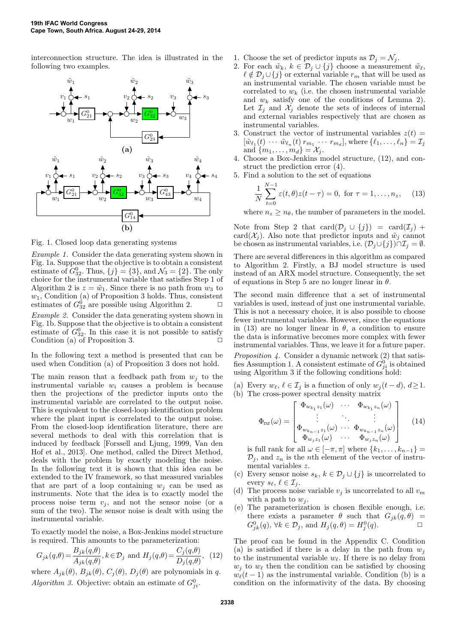interconnection structure. The idea is illustrated in the following two examples.



Fig. 1. Closed loop data generating systems

Example 1. Consider the data generating system shown in Fig. 1a. Suppose that the objective is to obtain a consistent estimate of  $G_{32}^0$ . Thus,  $\{j\} = \{3\}$ , and  $\mathcal{N}_3 = \{2\}$ . The only choice for the instrumental variable that satisfies Step 1 of Algorithm 2 is  $z = \tilde{w}_1$ . Since there is no path from  $w_3$  to  $w_1$ , Condition (a) of Proposition 3 holds. Thus, consistent estimates of  $G_2^0$  are possible using Algorithm 2. estimates of  $G_{32}^0$  are possible using Algorithm 2.  $\Box$ 

Example 2. Consider the data generating system shown in Fig. 1b. Suppose that the objective is to obtain a consistent estimate of  $G_{32}^0$ . In this case it is not possible to satisfy Condition (a) of Proposition 3.  $\Box$ 

In the following text a method is presented that can be used when Condition (a) of Proposition 3 does not hold.

The main reason that a feedback path from  $w_j$  to the instrumental variable  $w_i$  causes a problem is because then the projections of the predictor inputs onto the instrumental variable are correlated to the output noise. This is equivalent to the closed-loop identification problem where the plant input is correlated to the output noise. From the closed-loop identification literature, there are several methods to deal with this correlation that is induced by feedback [Forssell and Ljung, 1999, Van den Hof et al., 2013]. One method, called the Direct Method, deals with the problem by exactly modeling the noise. In the following text it is shown that this idea can be extended to the IV framework, so that measured variables that are part of a loop containing  $w_i$  can be used as instruments. Note that the idea is to exactly model the process noise term  $v_j$ , and not the sensor noise (or a sum of the two). The sensor noise is dealt with using the instrumental variable.

To exactly model the noise, a Box-Jenkins model structure is required. This amounts to the parameterization:

$$
G_{jk}(q,\theta) = \frac{B_{jk}(q,\theta)}{A_{jk}(q,\theta)}, k \in \mathcal{D}_j \text{ and } H_j(q,\theta) = \frac{C_j(q,\theta)}{D_j(q,\theta)}, (12)
$$

where  $A_{jk}(\theta)$ ,  $B_{jk}(\theta)$ ,  $C_j(\theta)$ ,  $D_j(\theta)$  are polynomials in q. Algorithm 3. Objective: obtain an estimate of  $G_{ji}^0$ .

- 1. Choose the set of predictor inputs as  $\mathcal{D}_j = \mathcal{N}_j$ .
- 2. For each  $\tilde{w}_k, k \in \mathcal{D}_j \cup \{j\}$  choose a measurement  $\tilde{w}_\ell$ ,  $\ell \notin \mathcal{D}_j \cup \{j\}$  or external variable  $r_m$  that will be used as an instrumental variable. The chosen variable must be correlated to  $w_k$  (i.e. the chosen instrumental variable and  $w_k$  satisfy one of the conditions of Lemma 2). Let  $\mathcal{I}_j$  and  $\mathcal{X}_j$  denote the sets of indeces of internal and external variables respectively that are chosen as instrumental variables.
- 3. Construct the vector of instrumental variables  $z(t) =$  $[\tilde{w}_{\ell_1}(t) \cdots \tilde{w}_{\ell_n}(t) r_{m_1} \cdots r_{m_d}],$  where  $\{\ell_1, \ldots, \ell_n\} = \mathcal{I}_j$ and  $\{m_1, \ldots, m_d\} = \mathcal{X}_j$ .
- 4. Choose a Box-Jenkins model structure, (12), and construct the prediction error (4).
- 5. Find a solution to the set of equations

$$
\frac{1}{N} \sum_{t=0}^{N-1} \varepsilon(t, \theta) z(t - \tau) = 0, \text{ for } \tau = 1, \dots, n_z,
$$
 (13)

where  $n_z > n_{\theta}$ , the number of parameters in the model.

Note from Step 2 that  $card(\mathcal{D}_j \cup \{j\}) = card(\mathcal{I}_j) +$ card( $\mathcal{X}_j$ ). Also note that predictor inputs and  $\tilde{w}_j$  cannot be chosen as instrumental variables, i.e.  $(\mathcal{D}_j \cup \{j\}) \cap \mathcal{I}_j = \emptyset$ .

There are several differences in this algorithm as compared to Algorithm 2. Firstly, a BJ model structure is used instead of an ARX model structure. Consequently, the set of equations in Step 5 are no longer linear in  $\theta$ .

The second main difference that a set of instrumental variables is used, instead of just one instrumental variable. This is not a necessary choice, it is also possible to choose fewer instrumental variables. However, since the equations in (13) are no longer linear in  $\theta$ , a condition to ensure the data is informative becomes more complex with fewer instrumental variables. Thus, we leave it for a future paper.

Proposition 4. Consider a dynamic network (2) that satisfies Assumption 1. A consistent estimate of  $G_{ji}^0$  is obtained using Algorithm 3 if the following conditions hold:

- (a) Every  $w_{\ell}, \ell \in \mathcal{I}_j$  is a function of only  $w_i (t d), d \ge 1$ .
- (b) The cross-power spectral density matrix

$$
\Phi_{\nu z}(\omega) = \begin{bmatrix}\n\Phi_{w_{k_1}z_1}(\omega) & \cdots & \Phi_{w_{k_1}z_n}(\omega) \\
\vdots & \ddots & \vdots \\
\Phi_{w_{k_{n-1}z_1}(\omega)} & \cdots & \Phi_{w_{k_{n-1}z_n}(\omega)} \\
\Phi_{w_jz_1}(\omega) & \cdots & \Phi_{w_jz_n}(\omega)\n\end{bmatrix} (14)
$$

is full rank for all  $\omega \in [-\pi, \pi]$  where  $\{k_1, \ldots, k_{n-1}\}$  $\mathcal{D}_i$ , and  $z_n$  is the *n*th element of the vector of instrumental variables z.

- (c) Every sensor noise  $s_k, k \in \mathcal{D}_j \cup \{j\}$  is uncorrelated to every  $s_{\ell}, \ell \in \mathcal{I}_i$ .
- (d) The process noise variable  $v_j$  is uncorrelated to all  $v_m$ with a path to  $w_i$ .
- (e) The parameterization is chosen flexible enough, i.e. there exists a parameter  $\theta$  such that  $G_{ik}(q, \theta)$  =  $G_{jk}^0(q)$ ,  $\forall k \in \mathcal{D}_j$ , and  $H_j(q, \theta) = H_j^0(q)$ .

The proof can be found in the Appendix C. Condition (a) is satisfied if there is a delay in the path from  $w_i$ to the instrumental variable  $w_{\ell}$ . If there is no delay from  $w_j$  to  $w_\ell$  then the condition can be satisfied by choosing  $w_{\ell}(t - 1)$  as the instrumental variable. Condition (b) is a condition on the informativity of the data. By choosing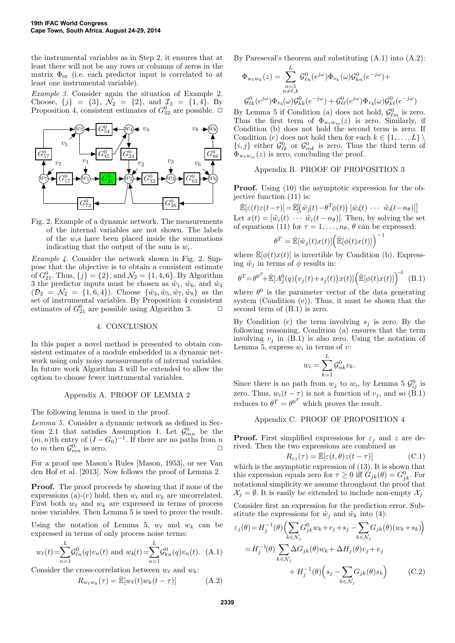the instrumental variables as in Step 2, it ensures that at least there will not be any rows or columns of zeros in the matrix  $\Phi_{\text{DL}}$  (i.e. each predictor input is correlated to at least one instrumental variable).

Example 3. Consider again the situation of Example 2. Choose,  $\{j\} = \{3\}$ ,  $\mathcal{N}_2 = \{2\}$ , and  $\mathcal{I}_2 = \{1, 4\}$ . By Proposition 4, consistent estimates of  $G_{32}^0$  are possible.  $\Box$ 



Fig. 2. Example of a dynamic network. The measurements of the internal variables are not shown. The labels of the  $w_i$ s have been placed inside the summations indicating that the output of the sum is  $w_i$ .

Example 4. Consider the network shown in Fig. 2. Suppose that the objective is to obtain a consistent estimate of  $G_{21}^0$ . Thus,  $\{j\} = \{2\}$ , and  $\mathcal{N}_2 = \{1, 4, 6\}$ . By Algorithm 3 the predictor inputs must be chosen as  $\tilde{w}_1$ ,  $\tilde{w}_6$ , and  $\tilde{w}_4$  $(\mathcal{D}_2 = \mathcal{N}_2 = \{1, 6, 4\})$ . Choose  $\{\tilde{w}_3, \tilde{w}_5, \tilde{w}_7, \tilde{w}_8\}$  as the set of instrumental variables. By Proposition 4 consistent estimates of  $G_{21}^0$  are possible using Algorithm 3.  $\Box$ 

# 4. CONCLUSION

In this paper a novel method is presented to obtain consistent estimates of a module embedded in a dynamic network using only noisy measurements of internal variables. In future work Algorithm 3 will be extended to allow the option to choose fewer instrumental variables.

## Appendix A. PROOF OF LEMMA 2

The following lemma is used in the proof.

Lemma 5. Consider a dynamic network as defined in Section 2.1 that satisfies Assumption 1. Let  $\mathcal{G}^0_{mn}$  be the  $(m, n)$ th entry of  $(I - G_0)^{-1}$ . If there are no paths from n to m then  $\mathcal{G}_{mn}^0$  is zero.

For a proof use Mason's Rules [Mason, 1953], or see Van den Hof et al. [2013]. Now follows the proof of Lemma 2.

Proof. The proof proceeds by showing that if none of the expressions (a)-(c) hold, then  $w_{\ell}$  and  $w_k$  are uncorrelated. First both  $w_{\ell}$  and  $w_k$  are expressed in terms of process noise variables. Then Lemma 5 is used to prove the result.

Using the notation of Lemma 5,  $w_{\ell}$  and  $w_k$  can be expressed in terms of only process noise terms:

$$
w_{\ell}(t) = \sum_{n=1}^{L} \mathcal{G}_{\ell n}^{0}(q) v_n(t)
$$
 and  $w_k(t) = \sum_{n=1}^{L} \mathcal{G}_{kn}^{0}(q) v_n(t)$ . (A.1)

Consider the cross-correlation between  $w_{\ell}$  and  $w_{k}$ :

$$
R_{w_{\ell}w_k}(\tau) = \bar{\mathbb{E}}[w_{\ell}(t)w_k(t-\tau)] \tag{A.2}
$$

By Pareseval's theorem and substituting (A.1) into (A.2):

$$
\Phi_{w_{\ell}w_k}(z) = \sum_{\substack{n=1 \ n \neq \ell,k}}^{L} \mathcal{G}_{\ell n}^0(e^{j\omega}) \Phi_{v_k}(\omega) \mathcal{G}_{kn}^0(e^{-j\omega}) +
$$
  

$$
\mathcal{G}_{\ell k}^0(e^{j\omega}) \Phi_{v_k}(\omega) \mathcal{G}_{kk}^0(e^{-j\omega}) + \mathcal{G}_{\ell \ell}^0(e^{j\omega}) \Phi_{v_k}(\omega) \mathcal{G}_{k \ell}^0(e^{-j\omega})
$$

By Lemma 5 if Condition (a) does not hold,  $\mathcal{G}_{\ell m}^0$  is zero. Thus the first term of  $\Phi_{w_{\ell}w_m}(z)$  is zero. Similarly, if Condition (b) does not hold the second term is zero. If Condition (c) does not hold then for each  $k \in \{1, ..., L\}$  $\{i, j\}$  either  $\mathcal{G}^0_{\ell k}$  or  $\mathcal{G}^0_{mk}$  is zero. Thus the third term of  $\Phi_{w_{\ell}w_m}(z)$  is zero, concluding the proof.

## Appendix B. PROOF OF PROPOSITION 3

**Proof.** Using (10) the asymptotic expression for the objective function (11) is:

$$
\mathbb{E}[\varepsilon(t)z(t-\tau)] = \mathbb{E}[(\tilde{w}_j(t) - \theta^T \phi(t)) [\tilde{w}_i(t) \cdots \tilde{w}_i(t-n_\theta)]]
$$
  
Let  $x(t) = [\tilde{w}_i(t) \cdots \tilde{w}_i(t-n_\theta)].$  Then, by solving the set  
of equations (11) for  $\tau = 1, ..., n_\theta$ ,  $\theta$  can be expressed:

$$
\theta^T = \bar{\mathbb{E}}[\tilde{w}_j(t)x(t)] \Big(\bar{\mathbb{E}}[\phi(t)x(t)]\Big)^{-1}
$$

where  $\mathbb{E}[\phi(t)x(t)]$  is invertible by Condition (b). Expressing  $\tilde{w}_j$  in terms of  $\phi$  results in:

$$
\theta^T = \theta^0 + \mathbb{E}[A_j^0(q)(v_j(t) + s_j(t))x(t)] \left(\mathbb{E}[\phi(t)x(t)]\right)^{-1}
$$
 (B.1)

where  $\theta^0$  is the parameter vector of the data generating system (Condition (e)). Thus, it must be shown that the second term of (B.1) is zero.

By Condition (c) the term involving  $s_i$  is zero. By the following reasoning, Condition (a) ensures that the term involving  $v_j$  in (B.1) is also zero. Using the notation of Lemma 5, express  $w_i$  in terms of v:

$$
w_i = \sum_{k=1}^L \mathcal{G}_{nk}^0 v_k.
$$

Since there is no path from  $w_j$  to  $w_i$ , by Lemma 5  $\mathcal{G}_{ij}^0$  is zero. Thus,  $w_i(t-\tau)$  is not a function of  $v_j$ , and so (B.1) reduces to  $\theta^T = \theta^{0^T}$  which proves the result.

# Appendix C. PROOF OF PROPOSITION 4

**Proof.** First simplified expressions for  $\varepsilon_j$  and z are derived. Then the two expressions are combined as

$$
R_{\varepsilon z}(\tau) = \bar{\mathbb{E}}[\varepsilon(t,\theta)z(t-\tau)]
$$
 (C.1)

which is the asymptotic expression of (13). It is shown that this expression equals zero for  $\tau \geq 0$  iff  $G_{jk}(\theta) = G_{jk}^0$ . For notational simplicity we assume throughout the proof that  $\mathcal{X}_j = \emptyset$ . It is easily be extended to include non-empty  $\mathcal{X}_j$ 

Consider first an expression for the prediction error. Substitute the expressions for  $\tilde{w}_i$  and  $\tilde{w}_k$  into (4):

$$
\varepsilon_j(\theta) = H_j^{-1}(\theta) \Biggl( \sum_{k \in \mathcal{N}_j} G_{jk}^0 w_k + v_j + s_j - \sum_{k \in \mathcal{N}_j} G_{jk}(\theta) (w_k + s_k) \Biggr)
$$
  
\n
$$
= H_j^{-1}(\theta) \sum_{k \in \mathcal{N}_j} \Delta G_{jk}(\theta) w_k + \Delta H_j(\theta) v_j + e_j
$$
  
\n
$$
+ H_j^{-1}(\theta) \Biggl( s_j - \sum_{k \in \mathcal{N}_j} G_{jk}(\theta) s_k \Biggr) \qquad (C.2)
$$